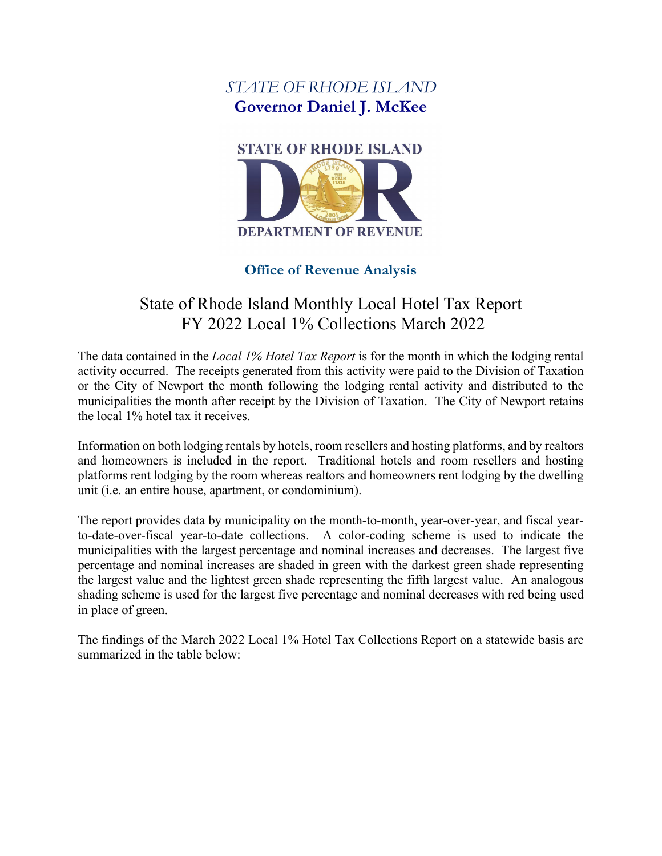## *STATE OF RHODE ISLAND* **Governor Daniel J. McKee**



#### **Office of Revenue Analysis**

# State of Rhode Island Monthly Local Hotel Tax Report FY 2022 Local 1% Collections March 2022

The data contained in the *Local 1% Hotel Tax Report* is for the month in which the lodging rental activity occurred. The receipts generated from this activity were paid to the Division of Taxation or the City of Newport the month following the lodging rental activity and distributed to the municipalities the month after receipt by the Division of Taxation. The City of Newport retains the local 1% hotel tax it receives.

Information on both lodging rentals by hotels, room resellers and hosting platforms, and by realtors and homeowners is included in the report. Traditional hotels and room resellers and hosting platforms rent lodging by the room whereas realtors and homeowners rent lodging by the dwelling unit (i.e. an entire house, apartment, or condominium).

The report provides data by municipality on the month-to-month, year-over-year, and fiscal yearto-date-over-fiscal year-to-date collections. A color-coding scheme is used to indicate the municipalities with the largest percentage and nominal increases and decreases. The largest five percentage and nominal increases are shaded in green with the darkest green shade representing the largest value and the lightest green shade representing the fifth largest value. An analogous shading scheme is used for the largest five percentage and nominal decreases with red being used in place of green.

The findings of the March 2022 Local 1% Hotel Tax Collections Report on a statewide basis are summarized in the table below: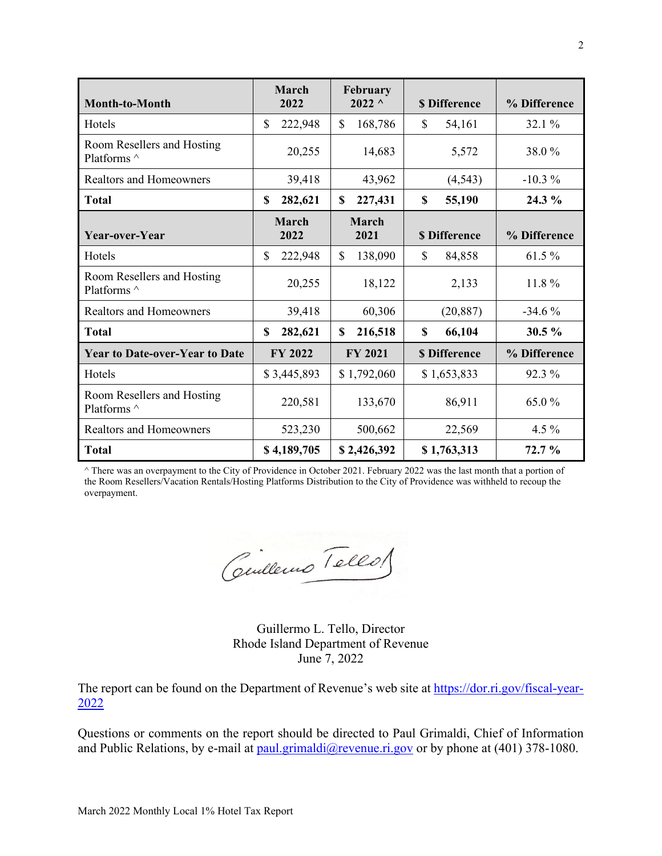| Month-to-Month                            | March<br>2022 | February<br>$2022^{\circ}$ | <b>\$Difference</b>     | % Difference |
|-------------------------------------------|---------------|----------------------------|-------------------------|--------------|
| Hotels                                    | 222,948<br>\$ | $\mathbf S$<br>168,786     | $\mathcal{S}$<br>54,161 | 32.1 %       |
| Room Resellers and Hosting<br>Platforms ^ | 20,255        | 14,683                     | 5,572                   | 38.0%        |
| <b>Realtors and Homeowners</b>            | 39,418        | 43,962                     | (4, 543)                | $-10.3%$     |
| <b>Total</b>                              | 282,621<br>\$ | 227,431<br>\$              | \$<br>55,190            | 24.3 %       |
| Year-over-Year                            | March<br>2022 | <b>March</b><br>2021       | <b>\$Difference</b>     | % Difference |
| Hotels                                    | \$<br>222,948 | $\mathbb{S}$<br>138,090    | \$<br>84,858            | 61.5 %       |
| Room Resellers and Hosting<br>Platforms ^ | 20,255        | 18,122                     | 2,133                   | 11.8%        |
| <b>Realtors and Homeowners</b>            | 39,418        | 60,306                     | (20, 887)               | $-34.6%$     |
| <b>Total</b>                              | \$<br>282,621 | 216,518<br>\$              | \$<br>66,104            | 30.5 %       |
| <b>Year to Date-over-Year to Date</b>     | FY 2022       | <b>FY 2021</b>             | <b>\$Difference</b>     | % Difference |
| Hotels                                    | \$3,445,893   | \$1,792,060                | \$1,653,833             | 92.3 %       |
| Room Resellers and Hosting<br>Platforms ^ | 220,581       | 133,670                    | 86,911                  | 65.0%        |
| <b>Realtors and Homeowners</b>            | 523,230       | 500,662                    | 22,569                  | 4.5 $%$      |
| <b>Total</b>                              | \$4,189,705   | \$2,426,392                | \$1,763,313             | 72.7%        |

^ There was an overpayment to the City of Providence in October 2021. February 2022 was the last month that a portion of the Room Resellers/Vacation Rentals/Hosting Platforms Distribution to the City of Providence was withheld to recoup the overpayment.

Ceulleurs Tells

Guillermo L. Tello, Director Rhode Island Department of Revenue June 7, 2022

The report can be found on the Department of Revenue's web site at [https://dor.ri.gov/fiscal-year-](https://dor.ri.gov/fiscal-year-2022)[2022](https://dor.ri.gov/fiscal-year-2022)

Questions or comments on the report should be directed to Paul Grimaldi, Chief of Information and Public Relations, by e-mail at [paul.grimaldi@revenue.ri.gov](mailto:paul.grimaldi@revenue.ri.gov) or by phone at (401) 378-1080.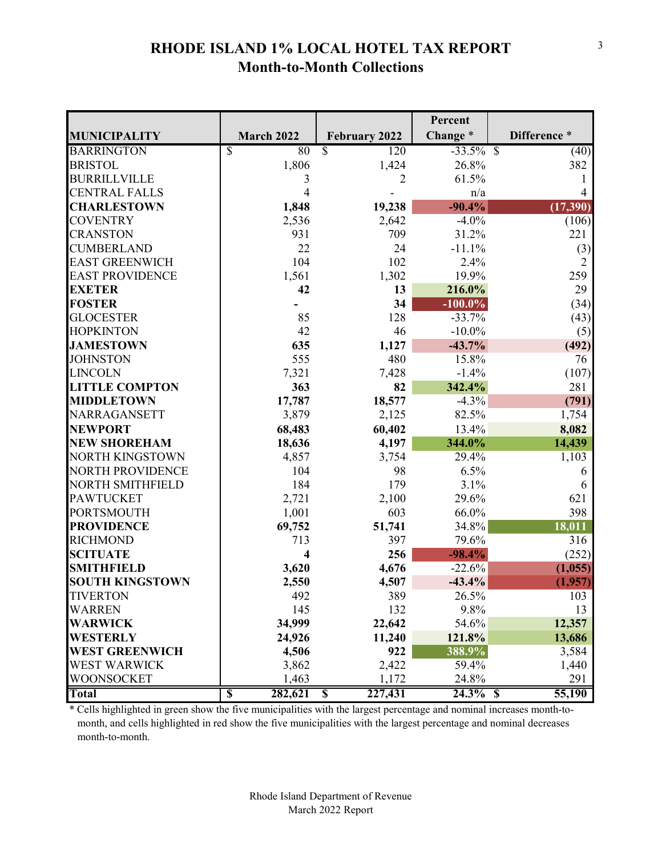## **RHODE ISLAND 1% LOCAL HOTEL TAX REPORT Month-to-Month Collections**

|                         |                                                 |                                      | Percent      |             |
|-------------------------|-------------------------------------------------|--------------------------------------|--------------|-------------|
| <b>MUNICIPALITY</b>     | March 2022                                      | <b>February 2022</b>                 | Change*      | Difference* |
| <b>BARRINGTON</b>       | $\overline{\mathcal{S}}$<br>80                  | $\overline{\mathcal{S}}$<br>120      | $-33.5\%$ \$ | (40)        |
| <b>BRISTOL</b>          | 1,806                                           | 1,424                                | 26.8%        | 382         |
| <b>BURRILLVILLE</b>     | 3                                               | 2                                    | 61.5%        |             |
| <b>CENTRAL FALLS</b>    | 4                                               |                                      | n/a          |             |
| <b>CHARLESTOWN</b>      | 1,848                                           | 19,238                               | $-90.4%$     | (17, 390)   |
| <b>COVENTRY</b>         | 2,536                                           | 2,642                                | $-4.0%$      | (106)       |
| <b>CRANSTON</b>         | 931                                             | 709                                  | 31.2%        | 221         |
| <b>CUMBERLAND</b>       | 22                                              | 24                                   | $-11.1%$     | (3)         |
| <b>EAST GREENWICH</b>   | 104                                             | 102                                  | 2.4%         | 2           |
| <b>EAST PROVIDENCE</b>  | 1,561                                           | 1,302                                | 19.9%        | 259         |
| <b>EXETER</b>           | 42                                              | 13                                   | 216.0%       | 29          |
| <b>FOSTER</b>           |                                                 | 34                                   | $-100.0\%$   | (34)        |
| <b>GLOCESTER</b>        | 85                                              | 128                                  | $-33.7%$     | (43)        |
| <b>HOPKINTON</b>        | 42                                              | 46                                   | $-10.0\%$    | (5)         |
| <b>JAMESTOWN</b>        | 635                                             | 1,127                                | $-43.7%$     | (492)       |
| <b>JOHNSTON</b>         | 555                                             | 480                                  | 15.8%        | 76          |
| <b>LINCOLN</b>          | 7,321                                           | 7,428                                | $-1.4%$      | (107)       |
| <b>LITTLE COMPTON</b>   | 363                                             | 82                                   | 342.4%       | 281         |
| <b>MIDDLETOWN</b>       | 17,787                                          | 18,577                               | $-4.3%$      | (791)       |
| NARRAGANSETT            | 3,879                                           | 2,125                                | 82.5%        | 1,754       |
| <b>NEWPORT</b>          | 68,483                                          | 60,402                               | 13.4%        | 8,082       |
| <b>NEW SHOREHAM</b>     | 18,636                                          | 4,197                                | 344.0%       | 14,439      |
| <b>NORTH KINGSTOWN</b>  | 4,857                                           | 3,754                                | 29.4%        | 1,103       |
| <b>NORTH PROVIDENCE</b> | 104                                             | 98                                   | 6.5%         | 6           |
| NORTH SMITHFIELD        | 184                                             | 179                                  | 3.1%         | 6           |
| <b>PAWTUCKET</b>        | 2,721                                           | 2,100                                | 29.6%        | 621         |
| <b>PORTSMOUTH</b>       | 1,001                                           | 603                                  | 66.0%        | 398         |
| <b>PROVIDENCE</b>       | 69,752                                          | 51,741                               | 34.8%        | 18,011      |
| <b>RICHMOND</b>         | 713                                             | 397                                  | 79.6%        | 316         |
| <b>SCITUATE</b>         | 4                                               | 256                                  | $-98.4%$     | (252)       |
| <b>SMITHFIELD</b>       | 3,620                                           | 4,676                                | $-22.6%$     | (1,055)     |
| <b>SOUTH KINGSTOWN</b>  | 2,550                                           | 4,507                                | $-43.4%$     | (1,957)     |
| <b>TIVERTON</b>         | 492                                             | 389                                  | 26.5%        | 103         |
| <b>WARREN</b>           | 145                                             | 132                                  | 9.8%         | 13          |
| <b>WARWICK</b>          | 34,999                                          | 22,642                               | 54.6%        | 12,357      |
| <b>WESTERLY</b>         | 24,926                                          | 11,240                               | 121.8%       | 13,686      |
| <b>WEST GREENWICH</b>   | 4,506                                           | 922                                  | 388.9%       | 3,584       |
| <b>WEST WARWICK</b>     | 3,862                                           | 2,422                                | 59.4%        | 1,440       |
| WOONSOCKET              | 1,463                                           | 1,172                                | 24.8%        | 291         |
| <b>Total</b>            | $\overline{\mathbb{S}}$<br>$2\overline{82,621}$ | 227,431<br>$\boldsymbol{\mathsf{S}}$ | 24.3% \$     | 55,190      |

\* Cells highlighted in green show the five municipalities with the largest percentage and nominal increases month-to month, and cells highlighted in red show the five municipalities with the largest percentage and nominal decreases month-to-month.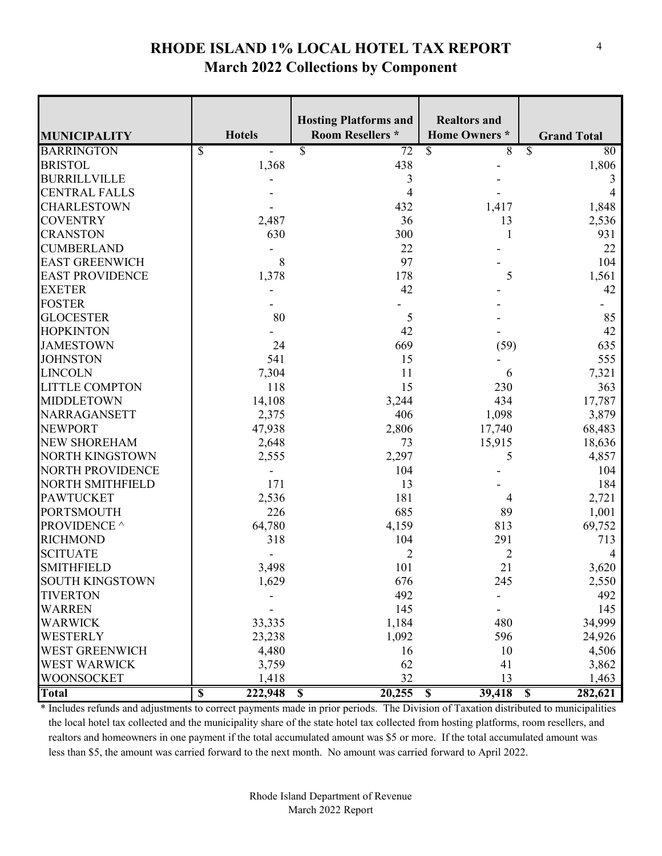## **RHODE ISLAND 1% LOCAL HOTEL TAX REPORT March 2022 Collections by Component**

|                                     | <b>Hotels</b>                      | <b>Hosting Platforms and</b><br><b>Room Resellers *</b> | <b>Realtors and</b><br><b>Home Owners</b> * |                                                |
|-------------------------------------|------------------------------------|---------------------------------------------------------|---------------------------------------------|------------------------------------------------|
| <b>MUNICIPALITY</b>                 |                                    |                                                         |                                             | <b>Grand Total</b><br>$\overline{\mathcal{S}}$ |
| <b>BARRINGTON</b><br><b>BRISTOL</b> | \$<br>1,368                        | $\overline{\mathcal{S}}$<br>$\overline{72}$<br>438      | $\overline{\mathcal{S}}$<br>$\overline{8}$  | $\overline{80}$                                |
| <b>BURRILLVILLE</b>                 |                                    | 3                                                       |                                             | 1,806                                          |
| <b>CENTRAL FALLS</b>                |                                    | 4                                                       |                                             | 3                                              |
| <b>CHARLESTOWN</b>                  |                                    | 432                                                     | 1,417                                       | 1,848                                          |
| <b>COVENTRY</b>                     | 2,487                              | 36                                                      | 13                                          | 2,536                                          |
| <b>CRANSTON</b>                     | 630                                | 300                                                     |                                             | 931                                            |
| <b>CUMBERLAND</b>                   |                                    | 22                                                      |                                             | 22                                             |
| <b>EAST GREENWICH</b>               | 8                                  | 97                                                      |                                             | 104                                            |
| <b>EAST PROVIDENCE</b>              | 1,378                              | 178                                                     | 5                                           | 1,561                                          |
| <b>EXETER</b>                       |                                    | 42                                                      |                                             | 42                                             |
| <b>FOSTER</b>                       |                                    |                                                         |                                             |                                                |
| <b>GLOCESTER</b>                    | 80                                 | 5                                                       |                                             | 85                                             |
| <b>HOPKINTON</b>                    |                                    | 42                                                      |                                             | 42                                             |
| <b>JAMESTOWN</b>                    | 24                                 | 669                                                     | (59)                                        | 635                                            |
| <b>JOHNSTON</b>                     | 541                                | 15                                                      |                                             | 555                                            |
| <b>LINCOLN</b>                      | 7,304                              | 11                                                      | 6                                           | 7,321                                          |
| <b>LITTLE COMPTON</b>               | 118                                | 15                                                      | 230                                         | 363                                            |
| <b>MIDDLETOWN</b>                   | 14,108                             | 3,244                                                   | 434                                         | 17,787                                         |
| NARRAGANSETT                        | 2,375                              | 406                                                     | 1,098                                       | 3,879                                          |
| <b>NEWPORT</b>                      | 47,938                             | 2,806                                                   | 17,740                                      | 68,483                                         |
| <b>NEW SHOREHAM</b>                 | 2,648                              | 73                                                      | 15,915                                      | 18,636                                         |
| <b>NORTH KINGSTOWN</b>              | 2,555                              | 2,297                                                   | 5                                           | 4,857                                          |
| <b>NORTH PROVIDENCE</b>             |                                    | 104                                                     |                                             | 104                                            |
| NORTH SMITHFIELD                    | 171                                | 13                                                      |                                             | 184                                            |
| <b>PAWTUCKET</b>                    | 2,536                              | 181                                                     | 4                                           | 2,721                                          |
| <b>PORTSMOUTH</b>                   | 226                                | 685                                                     | 89                                          | 1,001                                          |
| PROVIDENCE ^                        | 64,780                             | 4,159                                                   | 813                                         | 69,752                                         |
| <b>RICHMOND</b>                     | 318                                | 104                                                     | 291                                         | 713                                            |
| <b>SCITUATE</b>                     |                                    | $\overline{2}$                                          | $\overline{2}$                              | 4                                              |
| <b>SMITHFIELD</b>                   | 3,498                              | 101                                                     | 21                                          | 3,620                                          |
| <b>SOUTH KINGSTOWN</b>              | 1,629                              | 676                                                     | 245                                         | 2,550                                          |
| <b>TIVERTON</b>                     |                                    | 492                                                     |                                             | 492                                            |
| <b>WARREN</b>                       |                                    | 145                                                     |                                             | 145                                            |
| <b>WARWICK</b>                      | 33,335                             | 1,184                                                   | 480                                         | 34,999                                         |
| <b>WESTERLY</b>                     | 23,238                             | 1,092                                                   | 596                                         | 24,926                                         |
| <b>WEST GREENWICH</b>               | 4,480                              | 16                                                      | 10                                          | 4,506                                          |
| <b>WEST WARWICK</b>                 | 3,759                              | 62                                                      | 41                                          | 3,862                                          |
| <b>WOONSOCKET</b>                   | 1,418                              | 32                                                      | 13                                          | 1,463                                          |
| <b>Total</b>                        | 222,948<br>$\overline{\mathbf{S}}$ | 20,255<br>$\boldsymbol{\mathsf{S}}$                     | 39,418<br>$\mathbf s$                       | 282,621<br>$\boldsymbol{\mathsf{S}}$           |

\* Includes refunds and adjustments to correct payments made in prior periods. The Division of Taxation distributed to municipalities the local hotel tax collected and the municipality share of the state hotel tax collected from hosting platforms, room resellers, and realtors and homeowners in one payment if the total accumulated amount was \$5 or more. If the total accumulated amount was less than \$5, the amount was carried forward to the next month. No amount was carried forward to April 2022.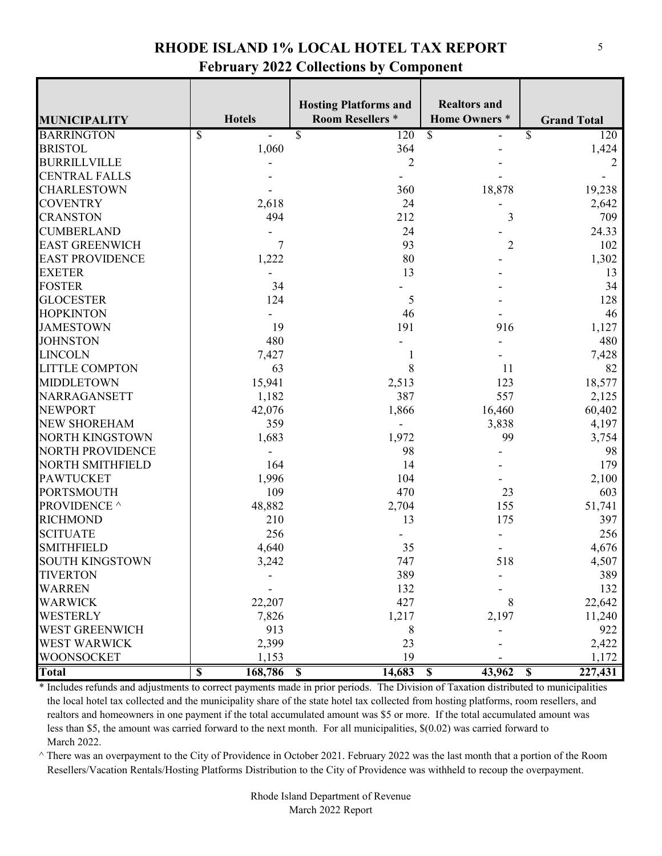#### **RHODE ISLAND 1% LOCAL HOTEL TAX REPORT February 2022 Collections by Component**

| <b>MUNICIPALITY</b>    | <b>Hotels</b>                      | <b>Hosting Platforms and</b><br><b>Room Resellers *</b> | <b>Realtors and</b><br><b>Home Owners</b> * | <b>Grand Total</b>   |
|------------------------|------------------------------------|---------------------------------------------------------|---------------------------------------------|----------------------|
| <b>BARRINGTON</b>      | \$<br>$\overline{a}$               | \$<br>120                                               | $\overline{\mathcal{S}}$                    | $\mathcal{S}$<br>120 |
| <b>BRISTOL</b>         | 1,060                              | 364                                                     |                                             | 1,424                |
| <b>BURRILLVILLE</b>    |                                    | $\overline{2}$                                          |                                             |                      |
| <b>CENTRAL FALLS</b>   |                                    |                                                         |                                             |                      |
| <b>CHARLESTOWN</b>     |                                    | 360                                                     | 18,878                                      | 19,238               |
| <b>COVENTRY</b>        | 2,618                              | 24                                                      |                                             | 2,642                |
| <b>CRANSTON</b>        | 494                                | 212                                                     | 3                                           | 709                  |
| <b>CUMBERLAND</b>      |                                    | 24                                                      |                                             | 24.33                |
| <b>EAST GREENWICH</b>  | $\tau$                             | 93                                                      | $\overline{2}$                              | 102                  |
| <b>EAST PROVIDENCE</b> | 1,222                              | 80                                                      |                                             | 1,302                |
| <b>EXETER</b>          |                                    | 13                                                      |                                             | 13                   |
| <b>FOSTER</b>          | 34                                 |                                                         |                                             | 34                   |
| <b>GLOCESTER</b>       | 124                                | 5                                                       |                                             | 128                  |
| <b>HOPKINTON</b>       |                                    | 46                                                      |                                             | 46                   |
| <b>JAMESTOWN</b>       | 19                                 | 191                                                     | 916                                         | 1,127                |
| <b>JOHNSTON</b>        | 480                                |                                                         |                                             | 480                  |
| <b>LINCOLN</b>         | 7,427                              |                                                         |                                             | 7,428                |
| <b>LITTLE COMPTON</b>  | 63                                 | 8                                                       | 11                                          | 82                   |
| <b>MIDDLETOWN</b>      | 15,941                             | 2,513                                                   | 123                                         | 18,577               |
| NARRAGANSETT           | 1,182                              | 387                                                     | 557                                         | 2,125                |
| <b>NEWPORT</b>         | 42,076                             | 1,866                                                   | 16,460                                      | 60,402               |
| <b>NEW SHOREHAM</b>    | 359                                |                                                         | 3,838                                       | 4,197                |
| NORTH KINGSTOWN        | 1,683                              | 1,972                                                   | 99                                          | 3,754                |
| NORTH PROVIDENCE       |                                    | 98                                                      |                                             | 98                   |
| NORTH SMITHFIELD       | 164                                | 14                                                      |                                             | 179                  |
| <b>PAWTUCKET</b>       | 1,996                              | 104                                                     |                                             | 2,100                |
| <b>PORTSMOUTH</b>      | 109                                | 470                                                     | 23                                          | 603                  |
| PROVIDENCE ^           | 48,882                             | 2,704                                                   | 155                                         | 51,741               |
| <b>RICHMOND</b>        | 210                                | 13                                                      | 175                                         | 397                  |
| <b>SCITUATE</b>        | 256                                |                                                         |                                             | 256                  |
| <b>SMITHFIELD</b>      | 4,640                              | 35                                                      |                                             | 4,676                |
| <b>SOUTH KINGSTOWN</b> | 3,242                              | 747                                                     | 518                                         | 4,507                |
| <b>TIVERTON</b>        |                                    | 389                                                     |                                             | 389                  |
| <b>WARREN</b>          |                                    | 132                                                     |                                             | 132                  |
| <b>WARWICK</b>         | 22,207                             | 427                                                     | 8                                           | 22,642               |
| <b>WESTERLY</b>        | 7,826                              | 1,217                                                   | 2,197                                       | 11,240               |
| <b>WEST GREENWICH</b>  | 913                                | 8                                                       |                                             | 922                  |
| WEST WARWICK           | 2,399                              | 23                                                      |                                             | 2,422                |
| <b>WOONSOCKET</b>      | 1,153                              | 19                                                      |                                             | 1,172                |
| <b>Total</b>           | 168,786<br>$\overline{\mathbb{S}}$ | 14,683<br>$\mathbf S$                                   | 43,962<br>$\mathbf S$                       | 227,431<br>- \$      |

\* Includes refunds and adjustments to correct payments made in prior periods. The Division of Taxation distributed to municipalities the local hotel tax collected and the municipality share of the state hotel tax collected from hosting platforms, room resellers, and realtors and homeowners in one payment if the total accumulated amount was \$5 or more. If the total accumulated amount was less than \$5, the amount was carried forward to the next month. For all municipalities, \$(0.02) was carried forward to March 2022.

 $\land$  There was an overpayment to the City of Providence in October 2021. February 2022 was the last month that a portion of the Room Resellers/Vacation Rentals/Hosting Platforms Distribution to the City of Providence was withheld to recoup the overpayment.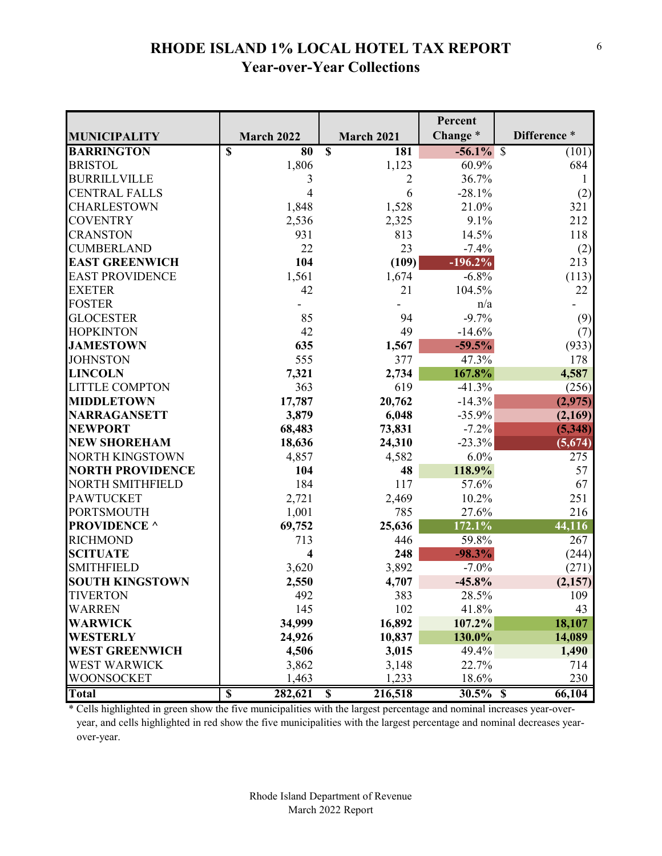## **RHODE ISLAND 1% LOCAL HOTEL TAX REPORT Year-over-Year Collections**

|                         |                                                |                                | Percent      |             |
|-------------------------|------------------------------------------------|--------------------------------|--------------|-------------|
| <b>MUNICIPALITY</b>     | March 2022                                     | <b>March 2021</b>              | Change*      | Difference* |
| <b>BARRINGTON</b>       | $\overline{\mathbf{S}}$<br>$\overline{\bf 80}$ | $\overline{\mathbb{S}}$<br>181 | $-56.1\%$ \$ | (101)       |
| <b>BRISTOL</b>          | 1,806                                          | 1,123                          | 60.9%        | 684         |
| <b>BURRILLVILLE</b>     | 3                                              | 2                              | 36.7%        |             |
| <b>CENTRAL FALLS</b>    | 4                                              | 6                              | $-28.1%$     | (2)         |
| CHARLESTOWN             | 1,848                                          | 1,528                          | 21.0%        | 321         |
| <b>COVENTRY</b>         | 2,536                                          | 2,325                          | 9.1%         | 212         |
| <b>CRANSTON</b>         | 931                                            | 813                            | 14.5%        | 118         |
| <b>CUMBERLAND</b>       | 22                                             | 23                             | $-7.4%$      | (2)         |
| <b>EAST GREENWICH</b>   | 104                                            | (109)                          | $-196.2\%$   | 213         |
| <b>EAST PROVIDENCE</b>  | 1,561                                          | 1,674                          | $-6.8%$      | (113)       |
| <b>EXETER</b>           | 42                                             | 21                             | 104.5%       | 22          |
| <b>FOSTER</b>           |                                                |                                | n/a          |             |
| <b>GLOCESTER</b>        | 85                                             | 94                             | $-9.7%$      | (9)         |
| <b>HOPKINTON</b>        | 42                                             | 49                             | $-14.6%$     | (7)         |
| <b>JAMESTOWN</b>        | 635                                            | 1,567                          | $-59.5%$     | (933)       |
| <b>JOHNSTON</b>         | 555                                            | 377                            | 47.3%        | 178         |
| <b>LINCOLN</b>          | 7,321                                          | 2,734                          | 167.8%       | 4,587       |
| <b>LITTLE COMPTON</b>   | 363                                            | 619                            | $-41.3%$     | (256)       |
| <b>MIDDLETOWN</b>       | 17,787                                         | 20,762                         | $-14.3%$     | (2,975)     |
| <b>NARRAGANSETT</b>     | 3,879                                          | 6,048                          | $-35.9%$     | (2,169)     |
| <b>NEWPORT</b>          | 68,483                                         | 73,831                         | $-7.2%$      | (5, 348)    |
| <b>NEW SHOREHAM</b>     | 18,636                                         | 24,310                         | $-23.3%$     | (5,674)     |
| <b>NORTH KINGSTOWN</b>  | 4,857                                          | 4,582                          | 6.0%         | 275         |
| <b>NORTH PROVIDENCE</b> | 104                                            | 48                             | 118.9%       | 57          |
| NORTH SMITHFIELD        | 184                                            | 117                            | 57.6%        | 67          |
| <b>PAWTUCKET</b>        | 2,721                                          | 2,469                          | 10.2%        | 251         |
| PORTSMOUTH              | 1,001                                          | 785                            | 27.6%        | 216         |
| <b>PROVIDENCE</b> ^     | 69,752                                         | 25,636                         | 172.1%       | 44,116      |
| <b>RICHMOND</b>         | 713                                            | 446                            | 59.8%        | 267         |
| <b>SCITUATE</b>         | 4                                              | 248                            | $-98.3%$     | (244)       |
| <b>SMITHFIELD</b>       | 3,620                                          | 3,892                          | $-7.0%$      | (271)       |
| <b>SOUTH KINGSTOWN</b>  | 2,550                                          | 4,707                          | $-45.8%$     | (2,157)     |
| <b>TIVERTON</b>         | 492                                            | 383                            | 28.5%        | 109         |
| <b>WARREN</b>           | 145                                            | 102                            | 41.8%        | 43          |
| <b>WARWICK</b>          | 34,999                                         | 16,892                         | 107.2%       | 18,107      |
| <b>WESTERLY</b>         | 24,926                                         | 10,837                         | 130.0%       | 14,089      |
| <b>WEST GREENWICH</b>   | 4,506                                          | 3,015                          | 49.4%        | 1,490       |
| WEST WARWICK            | 3,862                                          | 3,148                          | 22.7%        | 714         |
| WOONSOCKET              | 1,463                                          | 1,233                          | 18.6%        | 230         |
| <b>Total</b>            | $\overline{\mathbb{S}}$<br>282,621             | 216,518<br>\$                  | $30.5\%$ \$  | 66,104      |

\* Cells highlighted in green show the five municipalities with the largest percentage and nominal increases year-over year, and cells highlighted in red show the five municipalities with the largest percentage and nominal decreases year over-year.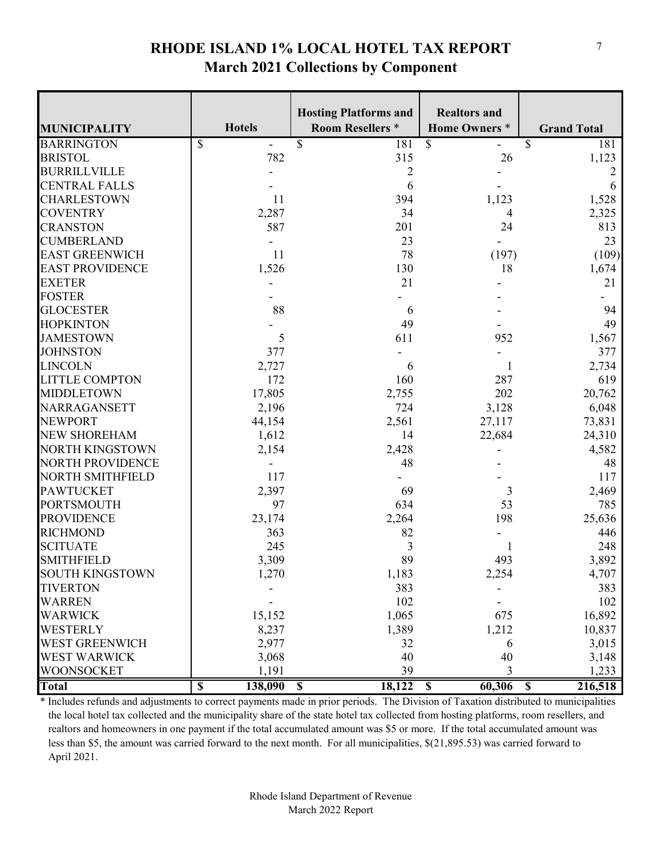#### **RHODE ISLAND 1% LOCAL HOTEL TAX REPORT March 2021 Collections by Component**

|                         |                                    | <b>Hosting Platforms and</b>      | <b>Realtors and</b>               |                    |
|-------------------------|------------------------------------|-----------------------------------|-----------------------------------|--------------------|
| <b>MUNICIPALITY</b>     | <b>Hotels</b>                      | <b>Room Resellers *</b>           | <b>Home Owners</b> *              | <b>Grand Total</b> |
| <b>BARRINGTON</b>       | $\overline{\mathbb{S}}$            | $\overline{\mathcal{S}}$<br>181   | $\overline{\mathbb{S}}$           | \$<br>181          |
| <b>BRISTOL</b>          | 782                                | 315                               | 26                                | 1,123              |
| <b>BURRILLVILLE</b>     |                                    | 2                                 |                                   | 2                  |
| <b>CENTRAL FALLS</b>    |                                    | 6                                 |                                   | 6                  |
| <b>CHARLESTOWN</b>      | 11                                 | 394                               | 1,123                             | 1,528              |
| <b>COVENTRY</b>         | 2,287                              | 34                                | 4                                 | 2,325              |
| <b>CRANSTON</b>         | 587                                | 201                               | 24                                | 813                |
| <b>CUMBERLAND</b>       |                                    | 23                                |                                   | 23                 |
| <b>EAST GREENWICH</b>   | 11                                 | 78                                | (197)                             | (109)              |
| <b>EAST PROVIDENCE</b>  | 1,526                              | 130                               | 18                                | 1,674              |
| <b>EXETER</b>           |                                    | 21                                |                                   | 21                 |
| <b>FOSTER</b>           |                                    |                                   |                                   |                    |
| <b>GLOCESTER</b>        | 88                                 | 6                                 |                                   | 94                 |
| <b>HOPKINTON</b>        |                                    | 49                                |                                   | 49                 |
| <b>JAMESTOWN</b>        | 5                                  | 611                               | 952                               | 1,567              |
| <b>JOHNSTON</b>         | 377                                |                                   |                                   | 377                |
| <b>LINCOLN</b>          | 2,727                              | 6                                 |                                   | 2,734              |
| <b>LITTLE COMPTON</b>   | 172                                | 160                               | 287                               | 619                |
| <b>MIDDLETOWN</b>       | 17,805                             | 2,755                             | 202                               | 20,762             |
| NARRAGANSETT            | 2,196                              | 724                               | 3,128                             | 6,048              |
| <b>NEWPORT</b>          | 44,154                             | 2,561                             | 27,117                            | 73,831             |
| NEW SHOREHAM            | 1,612                              | 14                                | 22,684                            | 24,310             |
| <b>NORTH KINGSTOWN</b>  | 2,154                              | 2,428                             |                                   | 4,582              |
| NORTH PROVIDENCE        |                                    | 48                                |                                   | 48                 |
| <b>NORTH SMITHFIELD</b> | 117                                |                                   |                                   | 117                |
| <b>PAWTUCKET</b>        | 2,397                              | 69                                | 3                                 | 2,469              |
| <b>PORTSMOUTH</b>       | 97                                 | 634                               | 53                                | 785                |
| <b>PROVIDENCE</b>       | 23,174                             | 2,264                             | 198                               | 25,636             |
| <b>RICHMOND</b>         | 363                                | 82                                |                                   | 446                |
| <b>SCITUATE</b>         | 245                                | 3                                 |                                   | 248                |
| <b>SMITHFIELD</b>       | 3,309                              | 89                                | 493                               | 3,892              |
| SOUTH KINGSTOWN         | 1,270                              | 1,183                             | 2,254                             | 4,707              |
| <b>TIVERTON</b>         |                                    | 383                               |                                   | 383                |
| <b>WARREN</b>           |                                    | 102                               |                                   | 102                |
| <b>WARWICK</b>          | 15,152                             | 1,065                             | 675                               | 16,892             |
| <b>WESTERLY</b>         | 8,237                              | 1,389                             | 1,212                             | 10,837             |
| <b>WEST GREENWICH</b>   | 2,977                              | 32                                | 6                                 | 3,015              |
| <b>WEST WARWICK</b>     | 3,068                              | 40                                | 40                                | 3,148              |
| WOONSOCKET              | 1,191                              | 39                                | 3                                 | 1,233              |
| <b>Total</b>            | $\overline{\mathbb{S}}$<br>138,090 | 18,122<br>$\overline{\mathbf{s}}$ | 60,306<br>$\overline{\mathbf{s}}$ | 216,518<br>S       |

\* Includes refunds and adjustments to correct payments made in prior periods. The Division of Taxation distributed to municipalities the local hotel tax collected and the municipality share of the state hotel tax collected from hosting platforms, room resellers, and realtors and homeowners in one payment if the total accumulated amount was \$5 or more. If the total accumulated amount was less than \$5, the amount was carried forward to the next month. For all municipalities, \$(21,895.53) was carried forward to April 2021.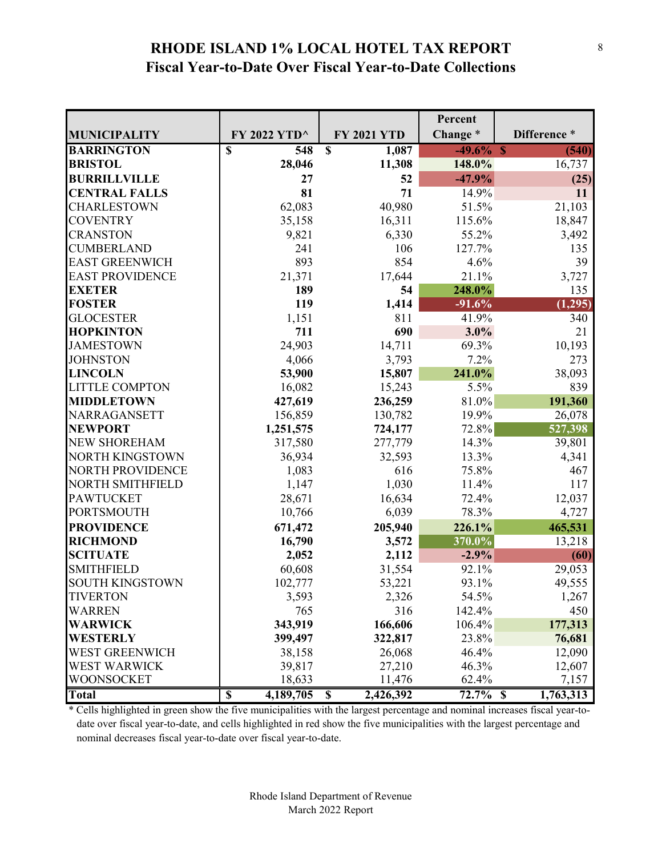### **RHODE ISLAND 1% LOCAL HOTEL TAX REPORT Fiscal Year-to-Date Over Fiscal Year-to-Date Collections**

|                         |                                      |                                      | Percent      |              |
|-------------------------|--------------------------------------|--------------------------------------|--------------|--------------|
| <b>MUNICIPALITY</b>     | FY 2022 YTD^                         | <b>FY 2021 YTD</b>                   | Change*      | Difference * |
| <b>BARRINGTON</b>       | $\overline{\mathbb{S}}$<br>548       | $\overline{\mathbb{S}}$<br>1,087     | $-49.6\%$ \$ | (540)        |
| <b>BRISTOL</b>          | 28,046                               | 11,308                               | 148.0%       | 16,737       |
| <b>BURRILLVILLE</b>     | 27                                   | 52                                   | $-47.9%$     | (25)         |
| <b>CENTRAL FALLS</b>    | 81                                   | 71                                   | 14.9%        | 11           |
| <b>CHARLESTOWN</b>      | 62,083                               | 40,980                               | 51.5%        | 21,103       |
| <b>COVENTRY</b>         | 35,158                               | 16,311                               | 115.6%       | 18,847       |
| <b>CRANSTON</b>         | 9,821                                | 6,330                                | 55.2%        | 3,492        |
| <b>CUMBERLAND</b>       | 241                                  | 106                                  | 127.7%       | 135          |
| <b>EAST GREENWICH</b>   | 893                                  | 854                                  | 4.6%         | 39           |
| <b>EAST PROVIDENCE</b>  | 21,371                               | 17,644                               | 21.1%        | 3,727        |
| <b>EXETER</b>           | 189                                  | 54                                   | 248.0%       | 135          |
| <b>FOSTER</b>           | 119                                  | 1,414                                | $-91.6%$     | (1,295)      |
| <b>GLOCESTER</b>        | 1,151                                | 811                                  | 41.9%        | 340          |
| <b>HOPKINTON</b>        | 711                                  | 690                                  | $3.0\%$      | 21           |
| <b>JAMESTOWN</b>        | 24,903                               | 14,711                               | 69.3%        | 10,193       |
| <b>JOHNSTON</b>         | 4,066                                | 3,793                                | 7.2%         | 273          |
| <b>LINCOLN</b>          | 53,900                               | 15,807                               | 241.0%       | 38,093       |
| <b>LITTLE COMPTON</b>   | 16,082                               | 15,243                               | 5.5%         | 839          |
| <b>MIDDLETOWN</b>       | 427,619                              | 236,259                              | 81.0%        | 191,360      |
| NARRAGANSETT            | 156,859                              | 130,782                              | 19.9%        | 26,078       |
| <b>NEWPORT</b>          | 1,251,575                            | 724,177                              | 72.8%        | 527,398      |
| <b>NEW SHOREHAM</b>     | 317,580                              | 277,779                              | 14.3%        | 39,801       |
| <b>NORTH KINGSTOWN</b>  | 36,934                               | 32,593                               | 13.3%        | 4,341        |
| <b>NORTH PROVIDENCE</b> | 1,083                                | 616                                  | 75.8%        | 467          |
| <b>NORTH SMITHFIELD</b> | 1,147                                | 1,030                                | 11.4%        | 117          |
| <b>PAWTUCKET</b>        | 28,671                               | 16,634                               | 72.4%        | 12,037       |
| <b>PORTSMOUTH</b>       | 10,766                               | 6,039                                | 78.3%        | 4,727        |
| <b>PROVIDENCE</b>       | 671,472                              | 205,940                              | 226.1%       | 465,531      |
| <b>RICHMOND</b>         | 16,790                               | 3,572                                | 370.0%       | 13,218       |
| <b>SCITUATE</b>         | 2,052                                | 2,112                                | $-2.9%$      | (60)         |
| <b>SMITHFIELD</b>       | 60,608                               | 31,554                               | 92.1%        | 29,053       |
| <b>SOUTH KINGSTOWN</b>  | 102,777                              | 53,221                               | 93.1%        | 49,555       |
| <b>TIVERTON</b>         | 3,593                                | 2,326                                | 54.5%        | 1,267        |
| <b>WARREN</b>           | 765                                  | 316                                  | 142.4%       | 450          |
| <b>WARWICK</b>          | 343,919                              | 166,606                              | 106.4%       | 177,313      |
| WESTERLY                | 399,497                              | 322,817                              | 23.8%        | 76,681       |
| WEST GREENWICH          | 38,158                               | 26,068                               | 46.4%        | 12,090       |
| <b>WEST WARWICK</b>     | 39,817                               | 27,210                               | 46.3%        | 12,607       |
| WOONSOCKET              | 18,633                               | 11,476                               | 62.4%        | 7,157        |
| <b>Total</b>            | 4,189,705<br>$\overline{\mathbb{S}}$ | 2,426,392<br>$\overline{\mathbb{S}}$ | $72.7\%$ \$  | 1,763,313    |

\* Cells highlighted in green show the five municipalities with the largest percentage and nominal increases fiscal year-to date over fiscal year-to-date, and cells highlighted in red show the five municipalities with the largest percentage and nominal decreases fiscal year-to-date over fiscal year-to-date.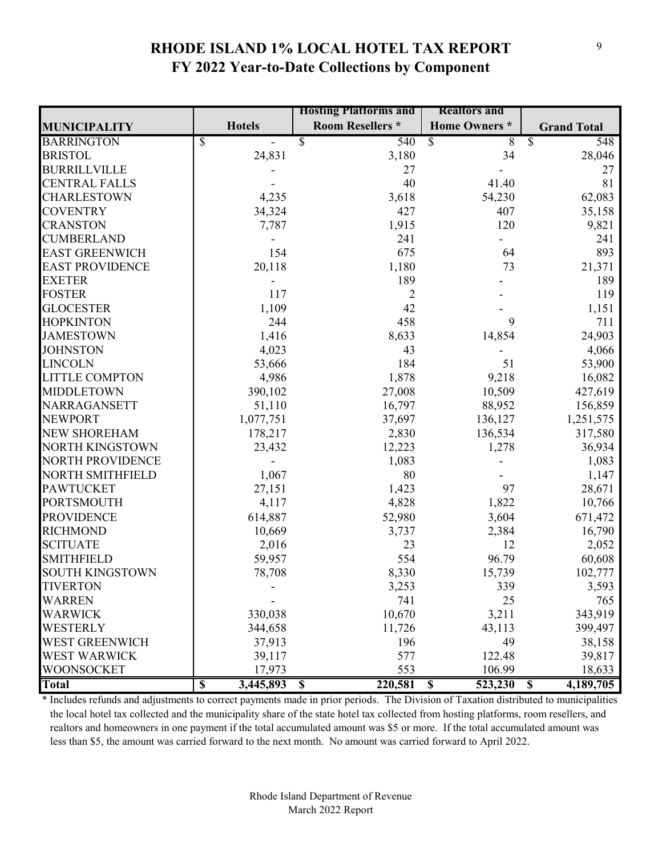#### **RHODE ISLAND 1% LOCAL HOTEL TAX REPORT FY 2022 Year-to-Date Collections by Component**

|                         |                                      | <b>Hosting Platforms and</b>       | <b>Realtors and</b>                |                                      |
|-------------------------|--------------------------------------|------------------------------------|------------------------------------|--------------------------------------|
| <b>MUNICIPALITY</b>     | <b>Hotels</b>                        | <b>Room Resellers *</b>            | <b>Home Owners</b> *               | <b>Grand Total</b>                   |
| <b>BARRINGTON</b>       | \$                                   | 540<br>\$                          | $\overline{\mathcal{S}}$<br>8      | \$<br>548                            |
| <b>BRISTOL</b>          | 24,831                               | 3,180                              | 34                                 | 28,046                               |
| <b>BURRILLVILLE</b>     |                                      | 27                                 |                                    | 27                                   |
| <b>CENTRAL FALLS</b>    |                                      | 40                                 | 41.40                              | 81                                   |
| <b>CHARLESTOWN</b>      | 4,235                                | 3,618                              | 54,230                             | 62,083                               |
| <b>COVENTRY</b>         | 34,324                               | 427                                | 407                                | 35,158                               |
| <b>CRANSTON</b>         | 7,787                                | 1,915                              | 120                                | 9,821                                |
| <b>CUMBERLAND</b>       |                                      | 241                                |                                    | 241                                  |
| <b>EAST GREENWICH</b>   | 154                                  | 675                                | 64                                 | 893                                  |
| <b>EAST PROVIDENCE</b>  | 20,118                               | 1,180                              | 73                                 | 21,371                               |
| <b>EXETER</b>           |                                      | 189                                |                                    | 189                                  |
| <b>FOSTER</b>           | 117                                  | $\overline{2}$                     |                                    | 119                                  |
| <b>GLOCESTER</b>        | 1,109                                | 42                                 |                                    | 1,151                                |
| <b>HOPKINTON</b>        | 244                                  | 458                                | 9                                  | 711                                  |
| <b>JAMESTOWN</b>        | 1,416                                | 8,633                              | 14,854                             | 24,903                               |
| <b>JOHNSTON</b>         | 4,023                                | 43                                 |                                    | 4,066                                |
| <b>LINCOLN</b>          | 53,666                               | 184                                | 51                                 | 53,900                               |
| <b>LITTLE COMPTON</b>   | 4,986                                | 1,878                              | 9,218                              | 16,082                               |
| <b>MIDDLETOWN</b>       | 390,102                              | 27,008                             | 10,509                             | 427,619                              |
| NARRAGANSETT            | 51,110                               | 16,797                             | 88,952                             | 156,859                              |
| <b>NEWPORT</b>          | 1,077,751                            | 37,697                             | 136,127                            | 1,251,575                            |
| <b>NEW SHOREHAM</b>     | 178,217                              | 2,830                              | 136,534                            | 317,580                              |
| <b>NORTH KINGSTOWN</b>  | 23,432                               | 12,223                             | 1,278                              | 36,934                               |
| <b>NORTH PROVIDENCE</b> |                                      | 1,083                              |                                    | 1,083                                |
| <b>NORTH SMITHFIELD</b> | 1,067                                | 80                                 |                                    | 1,147                                |
| <b>PAWTUCKET</b>        | 27,151                               | 1,423                              | 97                                 | 28,671                               |
| <b>PORTSMOUTH</b>       | 4,117                                | 4,828                              | 1,822                              | 10,766                               |
| <b>PROVIDENCE</b>       | 614,887                              | 52,980                             | 3,604                              | 671,472                              |
| <b>RICHMOND</b>         | 10,669                               | 3,737                              | 2,384                              | 16,790                               |
| <b>SCITUATE</b>         | 2,016                                | 23                                 | 12                                 | 2,052                                |
| <b>SMITHFIELD</b>       | 59,957                               | 554                                | 96.79                              | 60,608                               |
| <b>SOUTH KINGSTOWN</b>  | 78,708                               | 8,330                              | 15,739                             | 102,777                              |
| <b>TIVERTON</b>         |                                      | 3,253                              | 339                                | 3,593                                |
| <b>WARREN</b>           |                                      | 741                                | 25                                 | 765                                  |
| <b>WARWICK</b>          | 330,038                              | 10,670                             | 3,211                              | 343,919                              |
| <b>WESTERLY</b>         | 344,658                              | 11,726                             | 43,113                             | 399,497                              |
| <b>WEST GREENWICH</b>   | 37,913                               | 196                                | 49                                 | 38,158                               |
| <b>WEST WARWICK</b>     | 39,117                               | 577                                | 122.48                             | 39,817                               |
| <b>WOONSOCKET</b>       | 17,973                               | 553                                | 106.99                             | 18,633                               |
| <b>Total</b>            | $\overline{\mathbb{S}}$<br>3,445,893 | 220,581<br>$\overline{\mathbf{s}}$ | $\overline{\mathbf{S}}$<br>523,230 | 4,189,705<br>$\overline{\mathbf{s}}$ |

\* Includes refunds and adjustments to correct payments made in prior periods. The Division of Taxation distributed to municipalities the local hotel tax collected and the municipality share of the state hotel tax collected from hosting platforms, room resellers, and realtors and homeowners in one payment if the total accumulated amount was \$5 or more. If the total accumulated amount was less than \$5, the amount was carried forward to the next month. No amount was carried forward to April 2022.